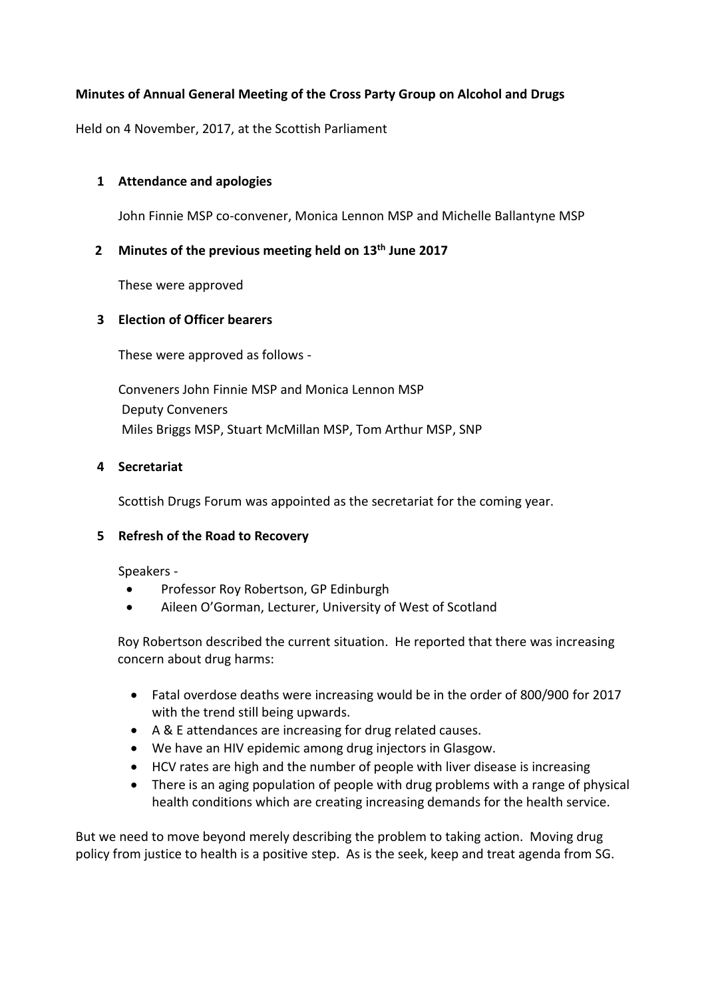# **Minutes of Annual General Meeting of the Cross Party Group on Alcohol and Drugs**

Held on 4 November, 2017, at the Scottish Parliament

## **1 Attendance and apologies**

John Finnie MSP co-convener, Monica Lennon MSP and Michelle Ballantyne MSP

#### **2 Minutes of the previous meeting held on 13th June 2017**

These were approved

## **3 Election of Officer bearers**

These were approved as follows -

Conveners John Finnie MSP and Monica Lennon MSP Deputy Conveners Miles Briggs MSP, Stuart McMillan MSP, Tom Arthur MSP, SNP

## **4 Secretariat**

Scottish Drugs Forum was appointed as the secretariat for the coming year.

## **5 Refresh of the Road to Recovery**

Speakers -

- Professor Roy Robertson, GP Edinburgh
- Aileen O'Gorman, Lecturer, University of West of Scotland

Roy Robertson described the current situation. He reported that there was increasing concern about drug harms:

- Fatal overdose deaths were increasing would be in the order of 800/900 for 2017 with the trend still being upwards.
- A & E attendances are increasing for drug related causes.
- We have an HIV epidemic among drug injectors in Glasgow.
- HCV rates are high and the number of people with liver disease is increasing
- There is an aging population of people with drug problems with a range of physical health conditions which are creating increasing demands for the health service.

But we need to move beyond merely describing the problem to taking action. Moving drug policy from justice to health is a positive step. As is the seek, keep and treat agenda from SG.